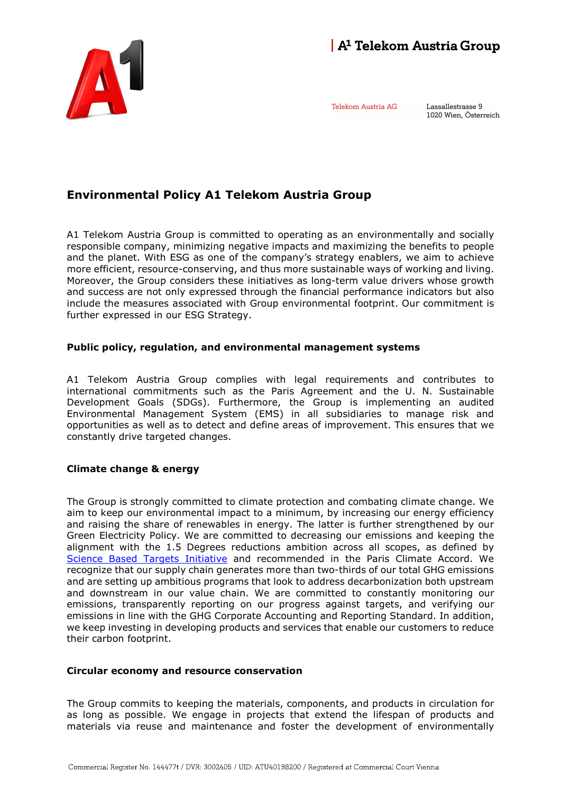

Telekom Austria AG

Lassallestrasse 9 1020 Wien, Österreich



A1 Telekom Austria Group is committed to operating as an environmentally and socially responsible company, minimizing negative impacts and maximizing the benefits to people and the planet. With ESG as one of the company's strategy enablers, we aim to achieve more efficient, resource-conserving, and thus more sustainable ways of working and living. Moreover, the Group considers these initiatives as long-term value drivers whose growth and success are not only expressed through the financial performance indicators but also include the measures associated with Group environmental footprint. Our commitment is further expressed in our ESG Strategy.

# Public policy, regulation, and environmental management systems

A1 Telekom Austria Group complies with legal requirements and contributes to international commitments such as the Paris Agreement and the U. N. Sustainable Development Goals (SDGs). Furthermore, the Group is implementing an audited Environmental Management System (EMS) in all subsidiaries to manage risk and opportunities as well as to detect and define areas of improvement. This ensures that we constantly drive targeted changes.

### Climate change & energy

The Group is strongly committed to climate protection and combating climate change. We aim to keep our environmental impact to a minimum, by increasing our energy efficiency and raising the share of renewables in energy. The latter is further strengthened by our Green Electricity Policy. We are committed to decreasing our emissions and keeping the alignment with the 1.5 Degrees reductions ambition across all scopes, as defined by Science Based Targets Initiative and recommended in the Paris Climate Accord. We recognize that our supply chain generates more than two-thirds of our total GHG emissions and are setting up ambitious programs that look to address decarbonization both upstream and downstream in our value chain. We are committed to constantly monitoring our emissions, transparently reporting on our progress against targets, and verifying our emissions in line with the GHG Corporate Accounting and Reporting Standard. In addition, we keep investing in developing products and services that enable our customers to reduce their carbon footprint.

### Circular economy and resource conservation

The Group commits to keeping the materials, components, and products in circulation for as long as possible. We engage in projects that extend the lifespan of products and materials via reuse and maintenance and foster the development of environmentally

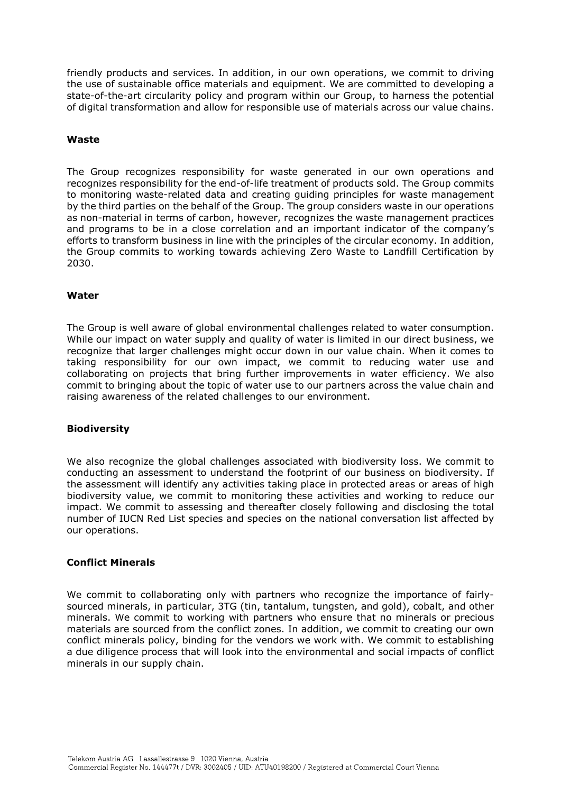friendly products and services. In addition, in our own operations, we commit to driving the use of sustainable office materials and equipment. We are committed to developing a state-of-the-art circularity policy and program within our Group, to harness the potential of digital transformation and allow for responsible use of materials across our value chains.

# Waste

The Group recognizes responsibility for waste generated in our own operations and recognizes responsibility for the end-of-life treatment of products sold. The Group commits to monitoring waste-related data and creating guiding principles for waste management by the third parties on the behalf of the Group. The group considers waste in our operations as non-material in terms of carbon, however, recognizes the waste management practices and programs to be in a close correlation and an important indicator of the company's efforts to transform business in line with the principles of the circular economy. In addition, the Group commits to working towards achieving Zero Waste to Landfill Certification by 2030.

# Water

The Group is well aware of global environmental challenges related to water consumption. While our impact on water supply and quality of water is limited in our direct business, we recognize that larger challenges might occur down in our value chain. When it comes to taking responsibility for our own impact, we commit to reducing water use and collaborating on projects that bring further improvements in water efficiency. We also commit to bringing about the topic of water use to our partners across the value chain and raising awareness of the related challenges to our environment.

### Biodiversity

We also recognize the global challenges associated with biodiversity loss. We commit to conducting an assessment to understand the footprint of our business on biodiversity. If the assessment will identify any activities taking place in protected areas or areas of high biodiversity value, we commit to monitoring these activities and working to reduce our impact. We commit to assessing and thereafter closely following and disclosing the total number of IUCN Red List species and species on the national conversation list affected by our operations.

### Conflict Minerals

We commit to collaborating only with partners who recognize the importance of fairlysourced minerals, in particular, 3TG (tin, tantalum, tungsten, and gold), cobalt, and other minerals. We commit to working with partners who ensure that no minerals or precious materials are sourced from the conflict zones. In addition, we commit to creating our own conflict minerals policy, binding for the vendors we work with. We commit to establishing a due diligence process that will look into the environmental and social impacts of conflict minerals in our supply chain.